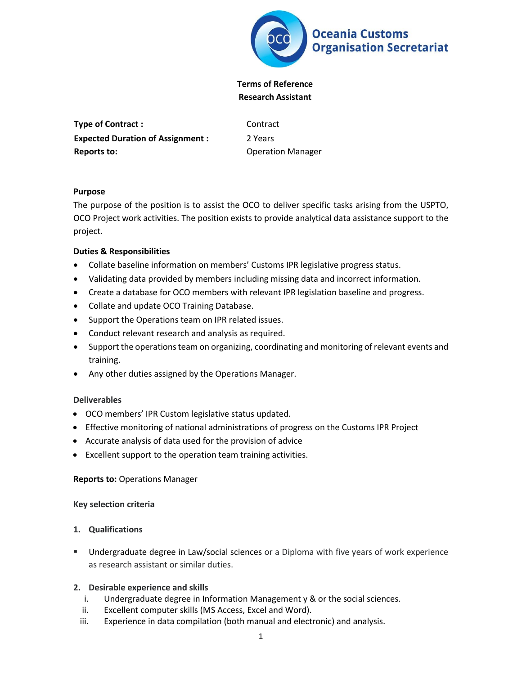

# **Terms of Reference Research Assistant**

**Type of Contract :** Contract **Expected Duration of Assignment : Reports to:**

2 Years Operation Manager

### **Purpose**

The purpose of the position is to assist the OCO to deliver specific tasks arising from the USPTO, OCO Project work activities. The position exists to provide analytical data assistance support to the project.

## **Duties & Responsibilities**

- Collate baseline information on members' Customs IPR legislative progress status.
- Validating data provided by members including missing data and incorrect information.
- Create a database for OCO members with relevant IPR legislation baseline and progress.
- Collate and update OCO Training Database.
- Support the Operations team on IPR related issues.
- Conduct relevant research and analysis as required.
- Support the operations team on organizing, coordinating and monitoring of relevant events and training.
- Any other duties assigned by the Operations Manager.

#### **Deliverables**

- OCO members' IPR Custom legislative status updated.
- Effective monitoring of national administrations of progress on the Customs IPR Project
- Accurate analysis of data used for the provision of advice
- Excellent support to the operation team training activities.

#### **Reports to:** Operations Manager

#### **Key selection criteria**

#### **1. Qualifications**

 Undergraduate degree in Law/social sciences or a Diploma with five years of work experience as research assistant or similar duties.

#### **2. Desirable experience and skills**

- i. Undergraduate degree in Information Management y & or the social sciences.
- ii. Excellent computer skills (MS Access, Excel and Word).
- iii. Experience in data compilation (both manual and electronic) and analysis.